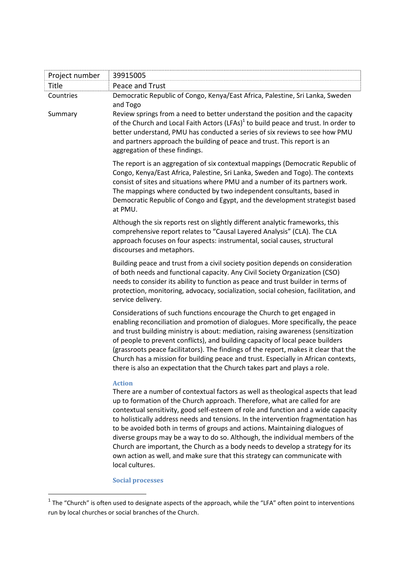| Project number       | 39915005                                                                                                                                                                                                                                                                                                                                                                                                                                                                                                                                                                                                                                                                                                     |
|----------------------|--------------------------------------------------------------------------------------------------------------------------------------------------------------------------------------------------------------------------------------------------------------------------------------------------------------------------------------------------------------------------------------------------------------------------------------------------------------------------------------------------------------------------------------------------------------------------------------------------------------------------------------------------------------------------------------------------------------|
| Title                | Peace and Trust                                                                                                                                                                                                                                                                                                                                                                                                                                                                                                                                                                                                                                                                                              |
| Countries<br>Summary | Democratic Republic of Congo, Kenya/East Africa, Palestine, Sri Lanka, Sweden<br>and Togo<br>Review springs from a need to better understand the position and the capacity<br>of the Church and Local Faith Actors (LFAs) <sup>1</sup> to build peace and trust. In order to<br>better understand, PMU has conducted a series of six reviews to see how PMU<br>and partners approach the building of peace and trust. This report is an                                                                                                                                                                                                                                                                      |
|                      | aggregation of these findings.<br>The report is an aggregation of six contextual mappings (Democratic Republic of<br>Congo, Kenya/East Africa, Palestine, Sri Lanka, Sweden and Togo). The contexts<br>consist of sites and situations where PMU and a number of its partners work.<br>The mappings where conducted by two independent consultants, based in<br>Democratic Republic of Congo and Egypt, and the development strategist based<br>at PMU.                                                                                                                                                                                                                                                      |
|                      | Although the six reports rest on slightly different analytic frameworks, this<br>comprehensive report relates to "Causal Layered Analysis" (CLA). The CLA<br>approach focuses on four aspects: instrumental, social causes, structural<br>discourses and metaphors.                                                                                                                                                                                                                                                                                                                                                                                                                                          |
|                      | Building peace and trust from a civil society position depends on consideration<br>of both needs and functional capacity. Any Civil Society Organization (CSO)<br>needs to consider its ability to function as peace and trust builder in terms of<br>protection, monitoring, advocacy, socialization, social cohesion, facilitation, and<br>service delivery.                                                                                                                                                                                                                                                                                                                                               |
|                      | Considerations of such functions encourage the Church to get engaged in<br>enabling reconciliation and promotion of dialogues. More specifically, the peace<br>and trust building ministry is about: mediation, raising awareness (sensitization<br>of people to prevent conflicts), and building capacity of local peace builders<br>(grassroots peace facilitators). The findings of the report, makes it clear that the<br>Church has a mission for building peace and trust. Especially in African contexts,<br>there is also an expectation that the Church takes part and plays a role.                                                                                                                |
|                      | <b>Action</b><br>There are a number of contextual factors as well as theological aspects that lead<br>up to formation of the Church approach. Therefore, what are called for are<br>contextual sensitivity, good self-esteem of role and function and a wide capacity<br>to holistically address needs and tensions. In the intervention fragmentation has<br>to be avoided both in terms of groups and actions. Maintaining dialogues of<br>diverse groups may be a way to do so. Although, the individual members of the<br>Church are important, the Church as a body needs to develop a strategy for its<br>own action as well, and make sure that this strategy can communicate with<br>local cultures. |
|                      | <b>Social processes</b>                                                                                                                                                                                                                                                                                                                                                                                                                                                                                                                                                                                                                                                                                      |

 1 The "Church" is often used to designate aspects of the approach, while the "LFA" often point to interventions run by local churches or social branches of the Church.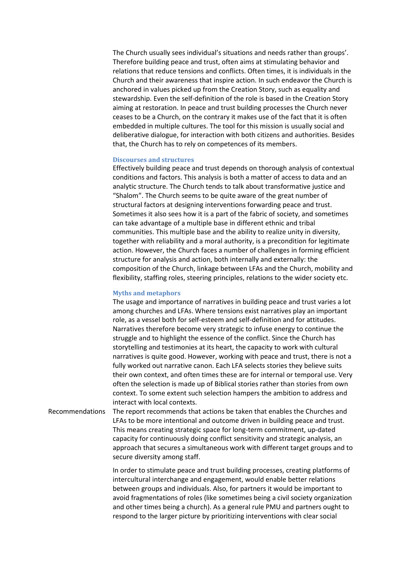The Church usually sees individual's situations and needs rather than groups'. Therefore building peace and trust, often aims at stimulating behavior and relations that reduce tensions and conflicts. Often times, it is individuals in the Church and their awareness that inspire action. In such endeavor the Church is anchored in values picked up from the Creation Story, such as equality and stewardship. Even the self-definition of the role is based in the Creation Story aiming at restoration. In peace and trust building processes the Church never ceases to be a Church, on the contrary it makes use of the fact that it is often embedded in multiple cultures. The tool for this mission is usually social and deliberative dialogue, for interaction with both citizens and authorities. Besides that, the Church has to rely on competences of its members.

## **Discourses and structures**

Effectively building peace and trust depends on thorough analysis of contextual conditions and factors. This analysis is both a matter of access to data and an analytic structure. The Church tends to talk about transformative justice and "Shalom". The Church seems to be quite aware of the great number of structural factors at designing interventions forwarding peace and trust. Sometimes it also sees how it is a part of the fabric of society, and sometimes can take advantage of a multiple base in different ethnic and tribal communities. This multiple base and the ability to realize unity in diversity, together with reliability and a moral authority, is a precondition for legitimate action. However, the Church faces a number of challenges in forming efficient structure for analysis and action, both internally and externally: the composition of the Church, linkage between LFAs and the Church, mobility and flexibility, staffing roles, steering principles, relations to the wider society etc.

## **Myths and metaphors**

The usage and importance of narratives in building peace and trust varies a lot among churches and LFAs. Where tensions exist narratives play an important role, as a vessel both for self-esteem and self-definition and for attitudes. Narratives therefore become very strategic to infuse energy to continue the struggle and to highlight the essence of the conflict. Since the Church has storytelling and testimonies at its heart, the capacity to work with cultural narratives is quite good. However, working with peace and trust, there is not a fully worked out narrative canon. Each LFA selects stories they believe suits their own context, and often times these are for internal or temporal use. Very often the selection is made up of Biblical stories rather than stories from own context. To some extent such selection hampers the ambition to address and interact with local contexts.

Recommendations The report recommends that actions be taken that enables the Churches and LFAs to be more intentional and outcome driven in building peace and trust. This means creating strategic space for long-term commitment, up-dated capacity for continuously doing conflict sensitivity and strategic analysis, an approach that secures a simultaneous work with different target groups and to secure diversity among staff.

> In order to stimulate peace and trust building processes, creating platforms of intercultural interchange and engagement, would enable better relations between groups and individuals. Also, for partners it would be important to avoid fragmentations of roles (like sometimes being a civil society organization and other times being a church). As a general rule PMU and partners ought to respond to the larger picture by prioritizing interventions with clear social